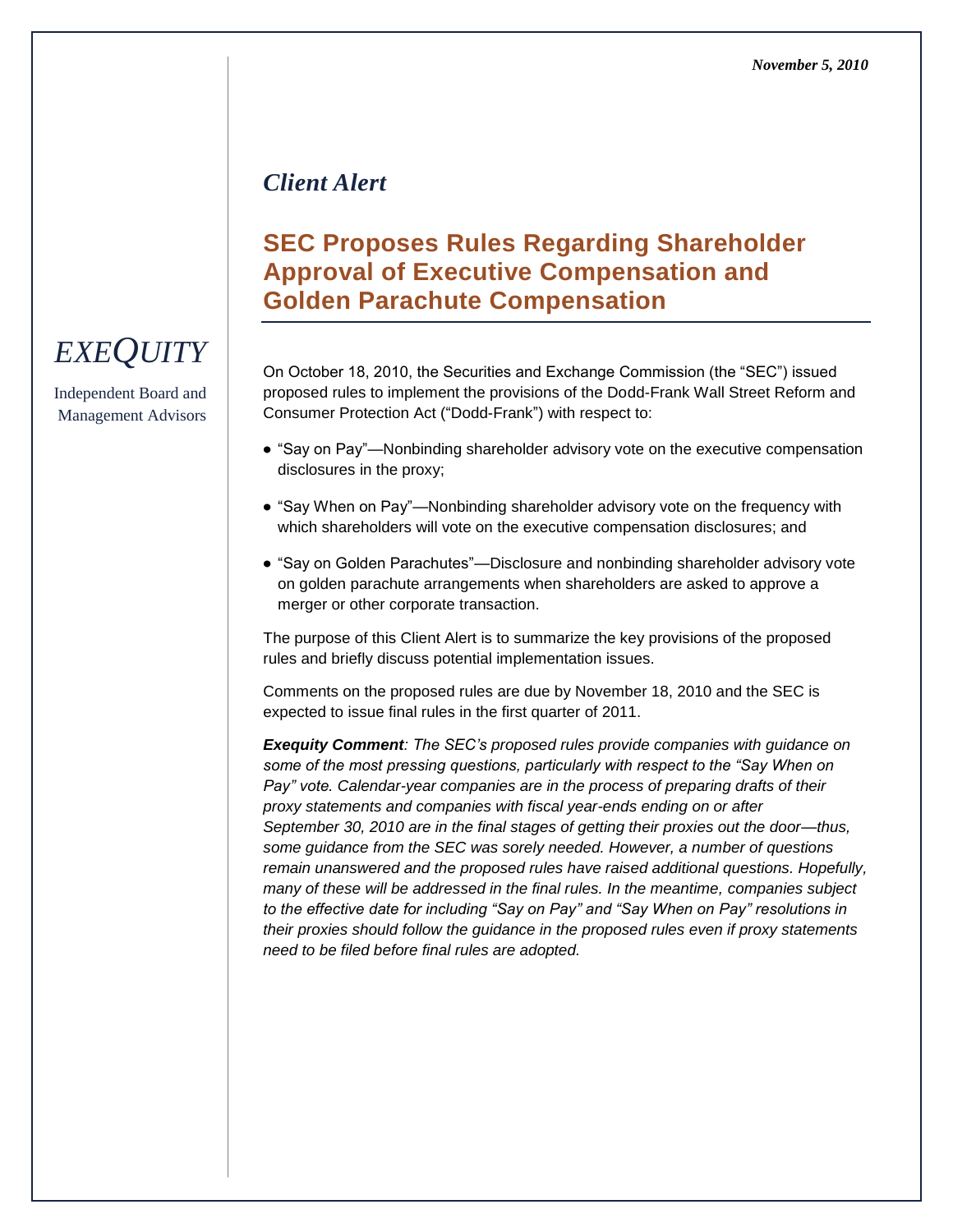## *Client Alert*

# **SEC Proposes Rules Regarding Shareholder Approval of Executive Compensation and Golden Parachute Compensation**

On October 18, 2010, the Securities and Exchange Commission (the "SEC") issued proposed rules to implement the provisions of the Dodd-Frank Wall Street Reform and Consumer Protection Act ("Dodd-Frank") with respect to:

- "Say on Pay"—Nonbinding shareholder advisory vote on the executive compensation disclosures in the proxy;
- "Say When on Pay"—Nonbinding shareholder advisory vote on the frequency with which shareholders will vote on the executive compensation disclosures; and
- "Say on Golden Parachutes"—Disclosure and nonbinding shareholder advisory vote on golden parachute arrangements when shareholders are asked to approve a merger or other corporate transaction.

The purpose of this Client Alert is to summarize the key provisions of the proposed rules and briefly discuss potential implementation issues.

Comments on the proposed rules are due by November 18, 2010 and the SEC is expected to issue final rules in the first quarter of 2011.

*Exequity Comment: The SEC's proposed rules provide companies with guidance on some of the most pressing questions, particularly with respect to the "Say When on Pay" vote. Calendar-year companies are in the process of preparing drafts of their proxy statements and companies with fiscal year-ends ending on or after September 30, 2010 are in the final stages of getting their proxies out the door—thus, some guidance from the SEC was sorely needed. However, a number of questions remain unanswered and the proposed rules have raised additional questions. Hopefully, many of these will be addressed in the final rules. In the meantime, companies subject to the effective date for including "Say on Pay" and "Say When on Pay" resolutions in their proxies should follow the guidance in the proposed rules even if proxy statements need to be filed before final rules are adopted.*

# *EXEQUITY*

Independent Board and Management Advisors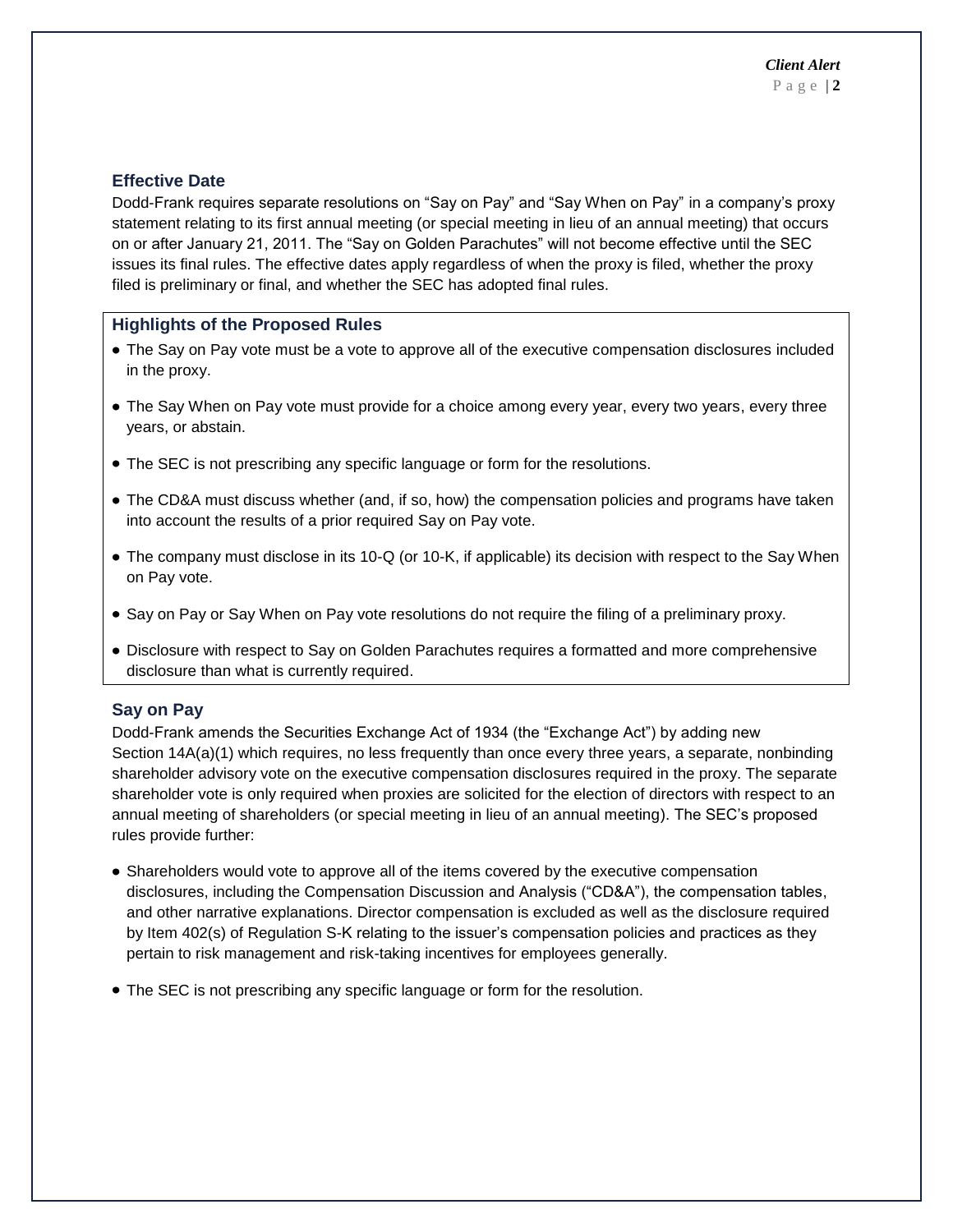#### **Effective Date**

Dodd-Frank requires separate resolutions on "Say on Pay" and "Say When on Pay" in a company's proxy statement relating to its first annual meeting (or special meeting in lieu of an annual meeting) that occurs on or after January 21, 2011. The "Say on Golden Parachutes" will not become effective until the SEC issues its final rules. The effective dates apply regardless of when the proxy is filed, whether the proxy filed is preliminary or final, and whether the SEC has adopted final rules.

#### **Highlights of the Proposed Rules**

- The Say on Pay vote must be a vote to approve all of the executive compensation disclosures included in the proxy.
- The Say When on Pay vote must provide for a choice among every year, every two years, every three years, or abstain.
- The SEC is not prescribing any specific language or form for the resolutions.
- The CD&A must discuss whether (and, if so, how) the compensation policies and programs have taken into account the results of a prior required Say on Pay vote.
- The company must disclose in its 10-Q (or 10-K, if applicable) its decision with respect to the Say When on Pay vote.
- Say on Pay or Say When on Pay vote resolutions do not require the filing of a preliminary proxy.
- Disclosure with respect to Say on Golden Parachutes requires a formatted and more comprehensive disclosure than what is currently required.

## **Say on Pay**

Dodd-Frank amends the Securities Exchange Act of 1934 (the "Exchange Act") by adding new Section 14A(a)(1) which requires, no less frequently than once every three years, a separate, nonbinding shareholder advisory vote on the executive compensation disclosures required in the proxy. The separate shareholder vote is only required when proxies are solicited for the election of directors with respect to an annual meeting of shareholders (or special meeting in lieu of an annual meeting). The SEC's proposed rules provide further:

- Shareholders would vote to approve all of the items covered by the executive compensation disclosures, including the Compensation Discussion and Analysis ("CD&A"), the compensation tables, and other narrative explanations. Director compensation is excluded as well as the disclosure required by Item 402(s) of Regulation S-K relating to the issuer's compensation policies and practices as they pertain to risk management and risk-taking incentives for employees generally.
- The SEC is not prescribing any specific language or form for the resolution.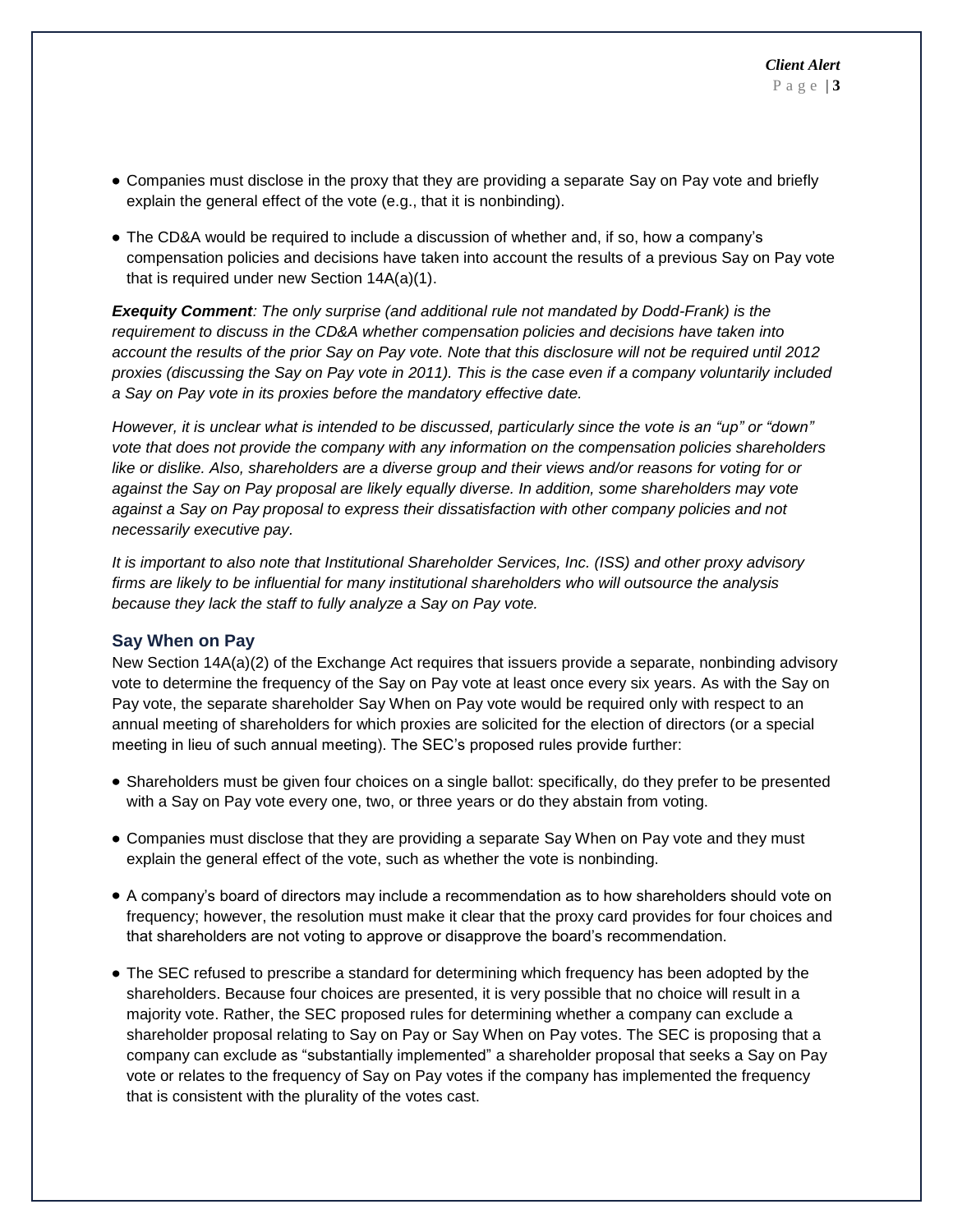- Companies must disclose in the proxy that they are providing a separate Say on Pay vote and briefly explain the general effect of the vote (e.g., that it is nonbinding).
- The CD&A would be required to include a discussion of whether and, if so, how a company's compensation policies and decisions have taken into account the results of a previous Say on Pay vote that is required under new Section 14A(a)(1).

*Exequity Comment: The only surprise (and additional rule not mandated by Dodd-Frank) is the requirement to discuss in the CD&A whether compensation policies and decisions have taken into account the results of the prior Say on Pay vote. Note that this disclosure will not be required until 2012 proxies (discussing the Say on Pay vote in 2011). This is the case even if a company voluntarily included a Say on Pay vote in its proxies before the mandatory effective date.* 

*However, it is unclear what is intended to be discussed, particularly since the vote is an "up" or "down" vote that does not provide the company with any information on the compensation policies shareholders like or dislike. Also, shareholders are a diverse group and their views and/or reasons for voting for or against the Say on Pay proposal are likely equally diverse. In addition, some shareholders may vote against a Say on Pay proposal to express their dissatisfaction with other company policies and not necessarily executive pay.*

*It is important to also note that Institutional Shareholder Services, Inc. (ISS) and other proxy advisory firms are likely to be influential for many institutional shareholders who will outsource the analysis because they lack the staff to fully analyze a Say on Pay vote.*

#### **Say When on Pay**

New Section 14A(a)(2) of the Exchange Act requires that issuers provide a separate, nonbinding advisory vote to determine the frequency of the Say on Pay vote at least once every six years. As with the Say on Pay vote, the separate shareholder Say When on Pay vote would be required only with respect to an annual meeting of shareholders for which proxies are solicited for the election of directors (or a special meeting in lieu of such annual meeting). The SEC's proposed rules provide further:

- Shareholders must be given four choices on a single ballot: specifically, do they prefer to be presented with a Say on Pay vote every one, two, or three years or do they abstain from voting.
- Companies must disclose that they are providing a separate Say When on Pay vote and they must explain the general effect of the vote, such as whether the vote is nonbinding.
- A company's board of directors may include a recommendation as to how shareholders should vote on frequency; however, the resolution must make it clear that the proxy card provides for four choices and that shareholders are not voting to approve or disapprove the board's recommendation.
- The SEC refused to prescribe a standard for determining which frequency has been adopted by the shareholders. Because four choices are presented, it is very possible that no choice will result in a majority vote. Rather, the SEC proposed rules for determining whether a company can exclude a shareholder proposal relating to Say on Pay or Say When on Pay votes. The SEC is proposing that a company can exclude as "substantially implemented" a shareholder proposal that seeks a Say on Pay vote or relates to the frequency of Say on Pay votes if the company has implemented the frequency that is consistent with the plurality of the votes cast.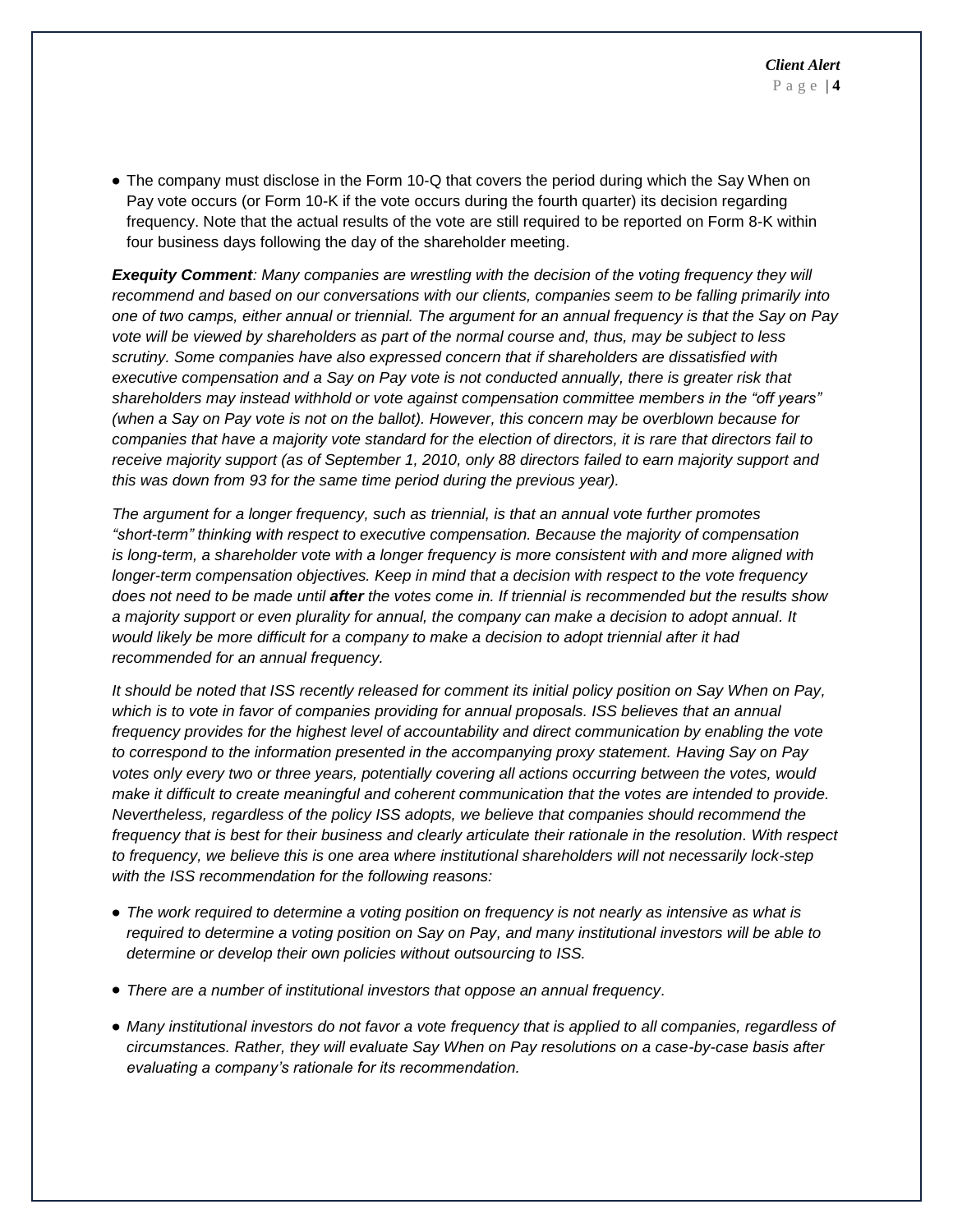• The company must disclose in the Form 10-Q that covers the period during which the Say When on Pay vote occurs (or Form 10-K if the vote occurs during the fourth quarter) its decision regarding frequency. Note that the actual results of the vote are still required to be reported on Form 8-K within four business days following the day of the shareholder meeting.

*Exequity Comment: Many companies are wrestling with the decision of the voting frequency they will recommend and based on our conversations with our clients, companies seem to be falling primarily into one of two camps, either annual or triennial. The argument for an annual frequency is that the Say on Pay vote will be viewed by shareholders as part of the normal course and, thus, may be subject to less scrutiny. Some companies have also expressed concern that if shareholders are dissatisfied with executive compensation and a Say on Pay vote is not conducted annually, there is greater risk that shareholders may instead withhold or vote against compensation committee members in the "off years" (when a Say on Pay vote is not on the ballot). However, this concern may be overblown because for companies that have a majority vote standard for the election of directors, it is rare that directors fail to receive majority support (as of September 1, 2010, only 88 directors failed to earn majority support and this was down from 93 for the same time period during the previous year).*

*The argument for a longer frequency, such as triennial, is that an annual vote further promotes "short-term" thinking with respect to executive compensation. Because the majority of compensation is long-term, a shareholder vote with a longer frequency is more consistent with and more aligned with longer-term compensation objectives. Keep in mind that a decision with respect to the vote frequency does not need to be made until after the votes come in. If triennial is recommended but the results show a majority support or even plurality for annual, the company can make a decision to adopt annual. It would likely be more difficult for a company to make a decision to adopt triennial after it had recommended for an annual frequency.*

*It should be noted that ISS recently released for comment its initial policy position on Say When on Pay, which is to vote in favor of companies providing for annual proposals. ISS believes that an annual frequency provides for the highest level of accountability and direct communication by enabling the vote to correspond to the information presented in the accompanying proxy statement. Having Say on Pay votes only every two or three years, potentially covering all actions occurring between the votes, would make it difficult to create meaningful and coherent communication that the votes are intended to provide. Nevertheless, regardless of the policy ISS adopts, we believe that companies should recommend the frequency that is best for their business and clearly articulate their rationale in the resolution. With respect to frequency, we believe this is one area where institutional shareholders will not necessarily lock-step with the ISS recommendation for the following reasons:*

- *The work required to determine a voting position on frequency is not nearly as intensive as what is required to determine a voting position on Say on Pay, and many institutional investors will be able to determine or develop their own policies without outsourcing to ISS.*
- *There are a number of institutional investors that oppose an annual frequency.*
- *Many institutional investors do not favor a vote frequency that is applied to all companies, regardless of circumstances. Rather, they will evaluate Say When on Pay resolutions on a case-by-case basis after evaluating a company's rationale for its recommendation.*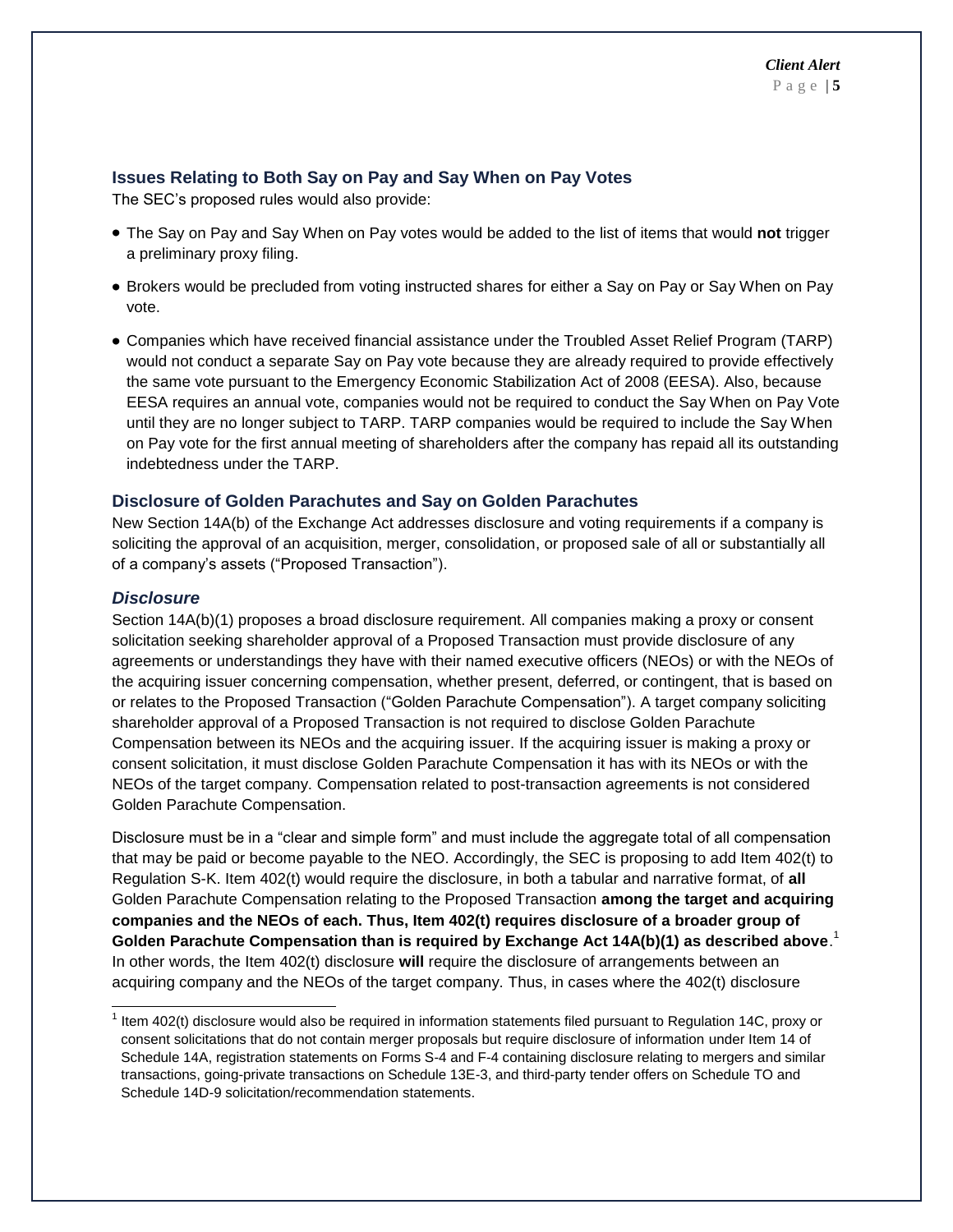#### **Issues Relating to Both Say on Pay and Say When on Pay Votes**

The SEC's proposed rules would also provide:

- The Say on Pay and Say When on Pay votes would be added to the list of items that would **not** trigger a preliminary proxy filing.
- Brokers would be precluded from voting instructed shares for either a Say on Pay or Say When on Pay vote.
- Companies which have received financial assistance under the Troubled Asset Relief Program (TARP) would not conduct a separate Say on Pay vote because they are already required to provide effectively the same vote pursuant to the Emergency Economic Stabilization Act of 2008 (EESA). Also, because EESA requires an annual vote, companies would not be required to conduct the Say When on Pay Vote until they are no longer subject to TARP. TARP companies would be required to include the Say When on Pay vote for the first annual meeting of shareholders after the company has repaid all its outstanding indebtedness under the TARP.

#### **Disclosure of Golden Parachutes and Say on Golden Parachutes**

New Section 14A(b) of the Exchange Act addresses disclosure and voting requirements if a company is soliciting the approval of an acquisition, merger, consolidation, or proposed sale of all or substantially all of a company's assets ("Proposed Transaction").

#### *Disclosure*

l

Section 14A(b)(1) proposes a broad disclosure requirement. All companies making a proxy or consent solicitation seeking shareholder approval of a Proposed Transaction must provide disclosure of any agreements or understandings they have with their named executive officers (NEOs) or with the NEOs of the acquiring issuer concerning compensation, whether present, deferred, or contingent, that is based on or relates to the Proposed Transaction ("Golden Parachute Compensation"). A target company soliciting shareholder approval of a Proposed Transaction is not required to disclose Golden Parachute Compensation between its NEOs and the acquiring issuer. If the acquiring issuer is making a proxy or consent solicitation, it must disclose Golden Parachute Compensation it has with its NEOs or with the NEOs of the target company. Compensation related to post-transaction agreements is not considered Golden Parachute Compensation.

Disclosure must be in a "clear and simple form" and must include the aggregate total of all compensation that may be paid or become payable to the NEO. Accordingly, the SEC is proposing to add Item 402(t) to Regulation S-K. Item 402(t) would require the disclosure, in both a tabular and narrative format, of **all** Golden Parachute Compensation relating to the Proposed Transaction **among the target and acquiring companies and the NEOs of each. Thus, Item 402(t) requires disclosure of a broader group of Golden Parachute Compensation than is required by Exchange Act 14A(b)(1) as described above**. 1 In other words, the Item 402(t) disclosure **will** require the disclosure of arrangements between an acquiring company and the NEOs of the target company. Thus, in cases where the 402(t) disclosure

 $1$  Item 402(t) disclosure would also be required in information statements filed pursuant to Regulation 14C, proxy or consent solicitations that do not contain merger proposals but require disclosure of information under Item 14 of Schedule 14A, registration statements on Forms S-4 and F-4 containing disclosure relating to mergers and similar transactions, going-private transactions on Schedule 13E-3, and third-party tender offers on Schedule TO and Schedule 14D-9 solicitation/recommendation statements.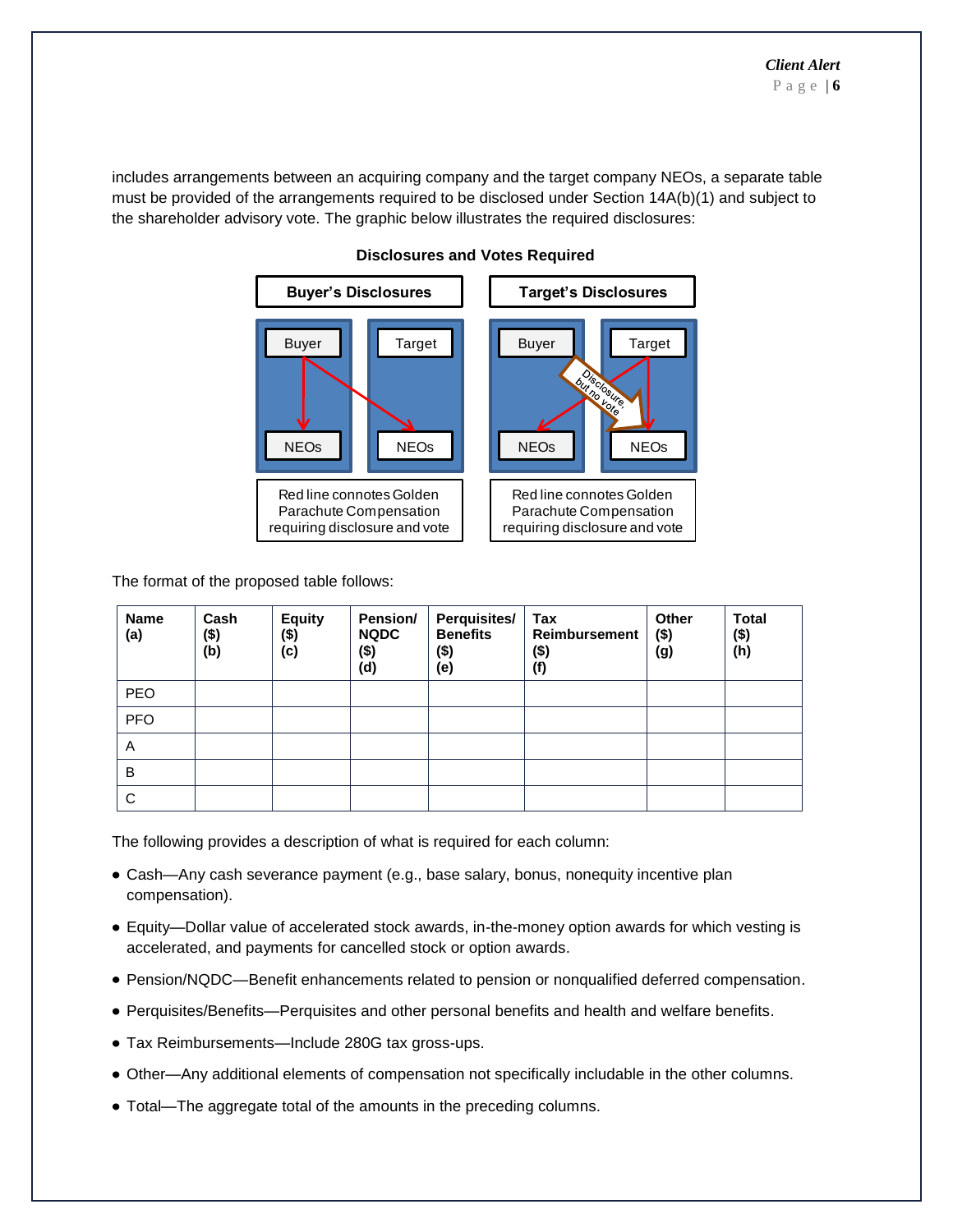includes arrangements between an acquiring company and the target company NEOs, a separate table must be provided of the arrangements required to be disclosed under Section 14A(b)(1) and subject to the shareholder advisory vote. The graphic below illustrates the required disclosures:



## **Disclosures and Votes Required**

The format of the proposed table follows:

| <b>Name</b><br>(a) | Cash<br>$($ \$)<br>(b) | <b>Equity</b><br>(\$)<br>(c) | Pension/<br><b>NQDC</b><br>(\$)<br>(d) | <b>Perquisites/</b><br><b>Benefits</b><br>$($ \$)<br>(e) | Tax<br><b>Reimbursement</b><br>$($ \$)<br>(f) | <b>Other</b><br>$($ \$)<br>(g) | <b>Total</b><br>$($ \$)<br>(h) |
|--------------------|------------------------|------------------------------|----------------------------------------|----------------------------------------------------------|-----------------------------------------------|--------------------------------|--------------------------------|
| <b>PEO</b>         |                        |                              |                                        |                                                          |                                               |                                |                                |
| PFO                |                        |                              |                                        |                                                          |                                               |                                |                                |
| A                  |                        |                              |                                        |                                                          |                                               |                                |                                |
| B                  |                        |                              |                                        |                                                          |                                               |                                |                                |
| C                  |                        |                              |                                        |                                                          |                                               |                                |                                |

The following provides a description of what is required for each column:

- Cash—Any cash severance payment (e.g., base salary, bonus, nonequity incentive plan compensation).
- Equity—Dollar value of accelerated stock awards, in-the-money option awards for which vesting is accelerated, and payments for cancelled stock or option awards.
- Pension/NQDC—Benefit enhancements related to pension or nonqualified deferred compensation.
- Perquisites/Benefits—Perquisites and other personal benefits and health and welfare benefits.
- Tax Reimbursements—Include 280G tax gross-ups.
- Other—Any additional elements of compensation not specifically includable in the other columns.
- Total—The aggregate total of the amounts in the preceding columns.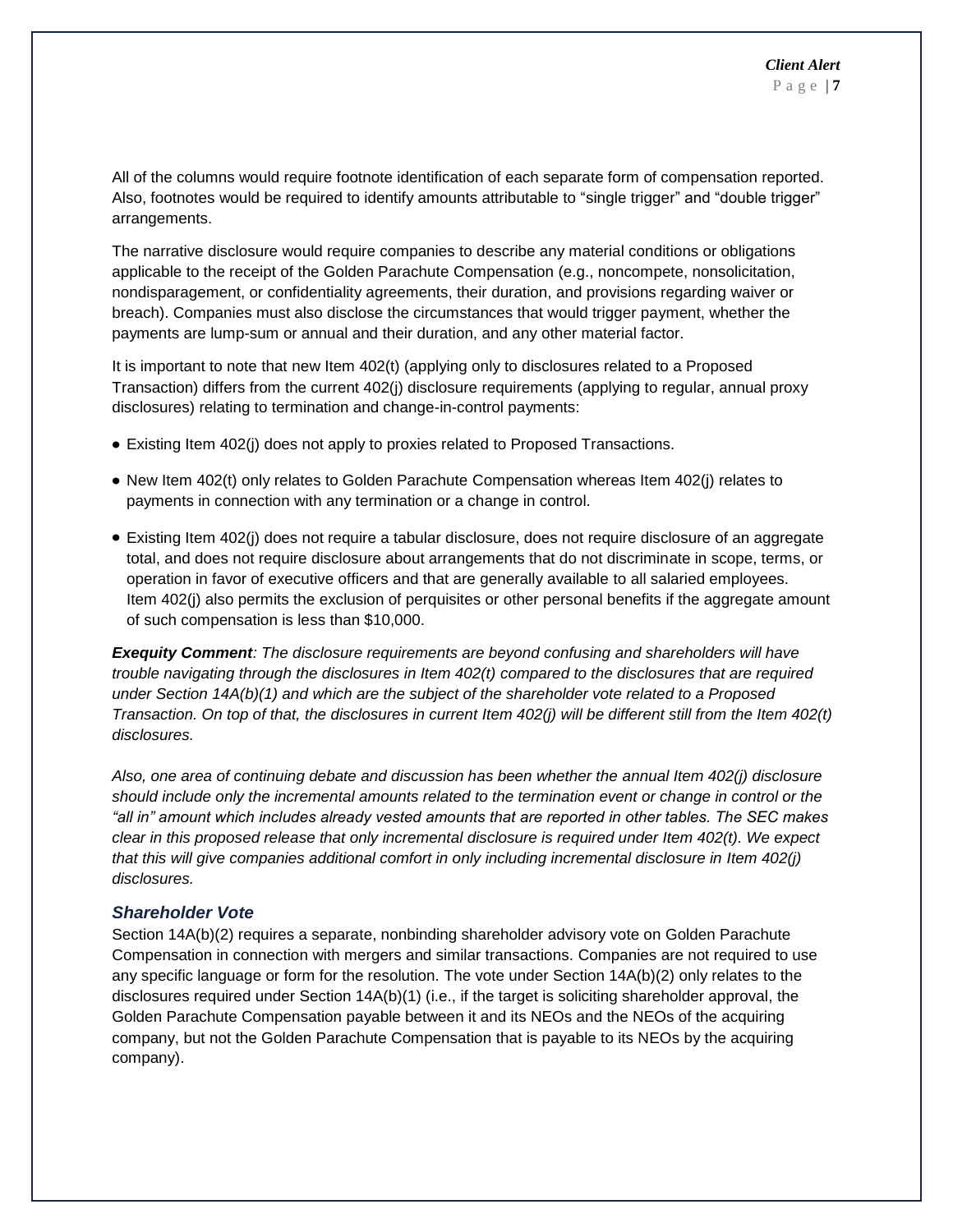All of the columns would require footnote identification of each separate form of compensation reported. Also, footnotes would be required to identify amounts attributable to "single trigger" and "double trigger" arrangements.

The narrative disclosure would require companies to describe any material conditions or obligations applicable to the receipt of the Golden Parachute Compensation (e.g., noncompete, nonsolicitation, nondisparagement, or confidentiality agreements, their duration, and provisions regarding waiver or breach). Companies must also disclose the circumstances that would trigger payment, whether the payments are lump-sum or annual and their duration, and any other material factor.

It is important to note that new Item 402(t) (applying only to disclosures related to a Proposed Transaction) differs from the current 402(j) disclosure requirements (applying to regular, annual proxy disclosures) relating to termination and change-in-control payments:

- Existing Item 402(j) does not apply to proxies related to Proposed Transactions.
- New Item 402(t) only relates to Golden Parachute Compensation whereas Item 402(j) relates to payments in connection with any termination or a change in control.
- Existing Item 402(j) does not require a tabular disclosure, does not require disclosure of an aggregate total, and does not require disclosure about arrangements that do not discriminate in scope, terms, or operation in favor of executive officers and that are generally available to all salaried employees. Item 402(j) also permits the exclusion of perquisites or other personal benefits if the aggregate amount of such compensation is less than \$10,000.

*Exequity Comment: The disclosure requirements are beyond confusing and shareholders will have trouble navigating through the disclosures in Item 402(t) compared to the disclosures that are required under Section 14A(b)(1) and which are the subject of the shareholder vote related to a Proposed Transaction. On top of that, the disclosures in current Item 402(j) will be different still from the Item 402(t) disclosures.*

*Also, one area of continuing debate and discussion has been whether the annual Item 402(j) disclosure should include only the incremental amounts related to the termination event or change in control or the "all in" amount which includes already vested amounts that are reported in other tables. The SEC makes clear in this proposed release that only incremental disclosure is required under Item 402(t). We expect that this will give companies additional comfort in only including incremental disclosure in Item 402(j) disclosures.* 

#### *Shareholder Vote*

Section 14A(b)(2) requires a separate, nonbinding shareholder advisory vote on Golden Parachute Compensation in connection with mergers and similar transactions. Companies are not required to use any specific language or form for the resolution. The vote under Section 14A(b)(2) only relates to the disclosures required under Section 14A(b)(1) (i.e., if the target is soliciting shareholder approval, the Golden Parachute Compensation payable between it and its NEOs and the NEOs of the acquiring company, but not the Golden Parachute Compensation that is payable to its NEOs by the acquiring company).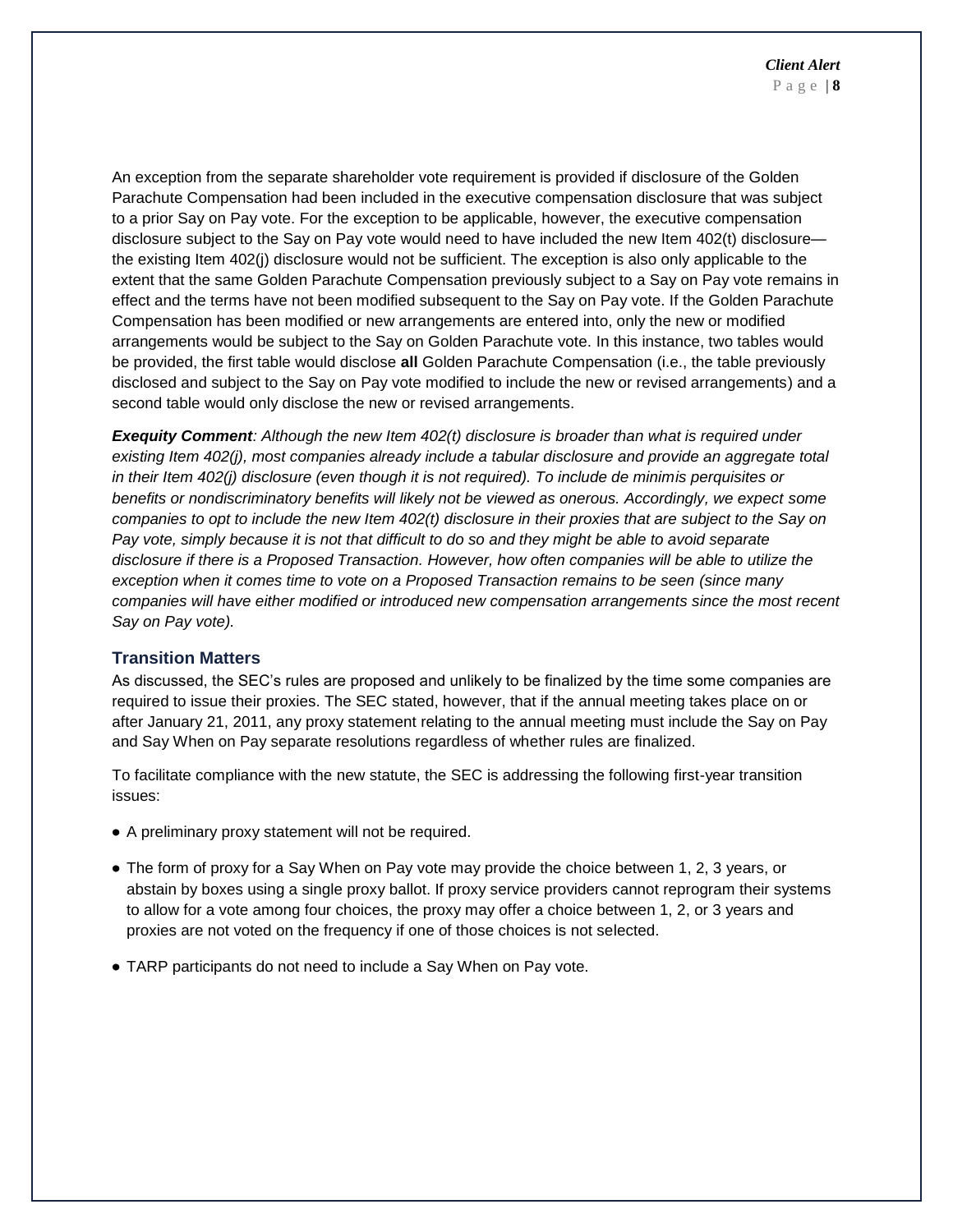An exception from the separate shareholder vote requirement is provided if disclosure of the Golden Parachute Compensation had been included in the executive compensation disclosure that was subject to a prior Say on Pay vote. For the exception to be applicable, however, the executive compensation disclosure subject to the Say on Pay vote would need to have included the new Item 402(t) disclosure the existing Item 402(j) disclosure would not be sufficient. The exception is also only applicable to the extent that the same Golden Parachute Compensation previously subject to a Say on Pay vote remains in effect and the terms have not been modified subsequent to the Say on Pay vote. If the Golden Parachute Compensation has been modified or new arrangements are entered into, only the new or modified arrangements would be subject to the Say on Golden Parachute vote. In this instance, two tables would be provided, the first table would disclose **all** Golden Parachute Compensation (i.e., the table previously disclosed and subject to the Say on Pay vote modified to include the new or revised arrangements) and a second table would only disclose the new or revised arrangements.

*Exequity Comment: Although the new Item 402(t) disclosure is broader than what is required under existing Item 402(j), most companies already include a tabular disclosure and provide an aggregate total in their Item 402(j) disclosure (even though it is not required). To include de minimis perquisites or benefits or nondiscriminatory benefits will likely not be viewed as onerous. Accordingly, we expect some companies to opt to include the new Item 402(t) disclosure in their proxies that are subject to the Say on Pay vote, simply because it is not that difficult to do so and they might be able to avoid separate disclosure if there is a Proposed Transaction. However, how often companies will be able to utilize the exception when it comes time to vote on a Proposed Transaction remains to be seen (since many companies will have either modified or introduced new compensation arrangements since the most recent Say on Pay vote).* 

#### **Transition Matters**

As discussed, the SEC's rules are proposed and unlikely to be finalized by the time some companies are required to issue their proxies. The SEC stated, however, that if the annual meeting takes place on or after January 21, 2011, any proxy statement relating to the annual meeting must include the Say on Pay and Say When on Pay separate resolutions regardless of whether rules are finalized.

To facilitate compliance with the new statute, the SEC is addressing the following first-year transition issues:

- A preliminary proxy statement will not be required.
- The form of proxy for a Say When on Pay vote may provide the choice between 1, 2, 3 years, or abstain by boxes using a single proxy ballot. If proxy service providers cannot reprogram their systems to allow for a vote among four choices, the proxy may offer a choice between 1, 2, or 3 years and proxies are not voted on the frequency if one of those choices is not selected.
- TARP participants do not need to include a Say When on Pay vote.